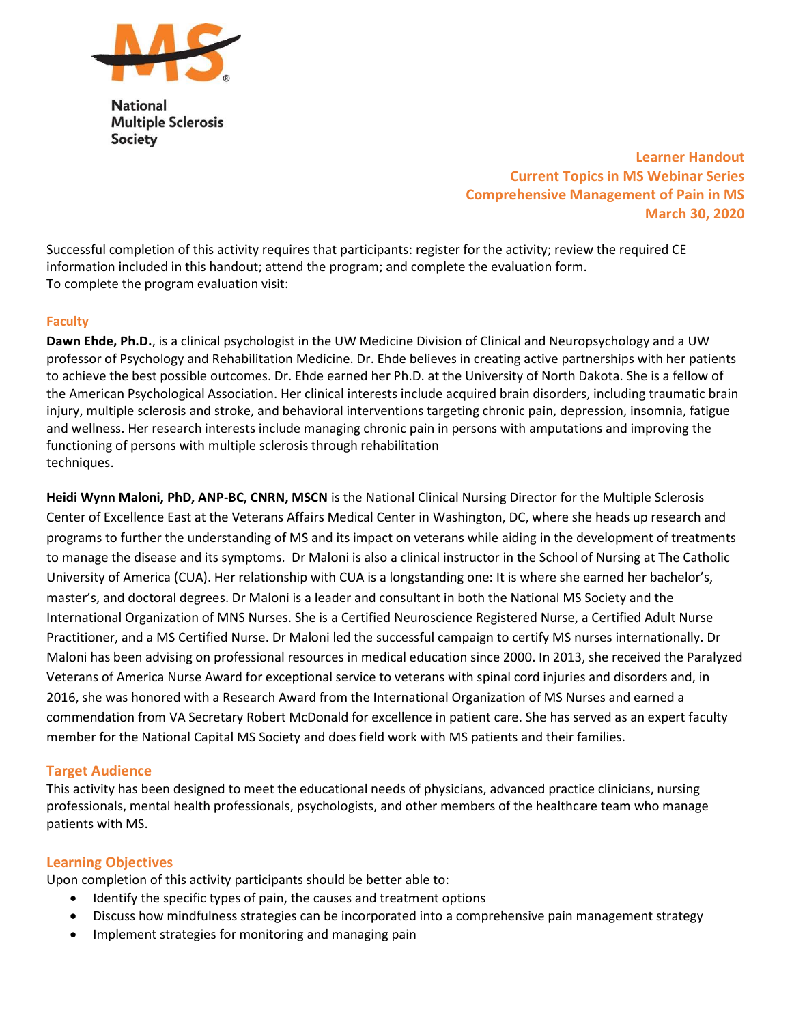

**National Multiple Sclerosis Society** 

> Learner Handout Current Topics in MS Webinar Series Comprehensive Management of Pain in MS March 30, 2020

Successful completion of this activity requires that participants: register for the activity; review the required CE information included in this handout; attend the program; and complete the evaluation form. To complete the program evaluation visit:

### Faculty

Dawn Ehde, Ph.D., is a clinical psychologist in the UW Medicine Division of Clinical and Neuropsychology and a UW professor of Psychology and Rehabilitation Medicine. Dr. Ehde believes in creating active partnerships with her patients to achieve the best possible outcomes. Dr. Ehde earned her Ph.D. at the University of North Dakota. She is a fellow of the American Psychological Association. Her clinical interests include acquired brain disorders, including traumatic brain injury, multiple sclerosis and stroke, and behavioral interventions targeting chronic pain, depression, insomnia, fatigue and wellness. Her research interests include managing chronic pain in persons with amputations and improving the functioning of persons with multiple sclerosis through rehabilitation techniques.

Heidi Wynn Maloni, PhD, ANP-BC, CNRN, MSCN is the National Clinical Nursing Director for the Multiple Sclerosis Center of Excellence East at the Veterans Affairs Medical Center in Washington, DC, where she heads up research and programs to further the understanding of MS and its impact on veterans while aiding in the development of treatments to manage the disease and its symptoms. Dr Maloni is also a clinical instructor in the School of Nursing at The Catholic University of America (CUA). Her relationship with CUA is a longstanding one: It is where she earned her bachelor's, master's, and doctoral degrees. Dr Maloni is a leader and consultant in both the National MS Society and the International Organization of MNS Nurses. She is a Certified Neuroscience Registered Nurse, a Certified Adult Nurse Practitioner, and a MS Certified Nurse. Dr Maloni led the successful campaign to certify MS nurses internationally. Dr Maloni has been advising on professional resources in medical education since 2000. In 2013, she received the Paralyzed Veterans of America Nurse Award for exceptional service to veterans with spinal cord injuries and disorders and, in 2016, she was honored with a Research Award from the International Organization of MS Nurses and earned a commendation from VA Secretary Robert McDonald for excellence in patient care. She has served as an expert faculty member for the National Capital MS Society and does field work with MS patients and their families.

### Target Audience

This activity has been designed to meet the educational needs of physicians, advanced practice clinicians, nursing professionals, mental health professionals, psychologists, and other members of the healthcare team who manage patients with MS.

### Learning Objectives

Upon completion of this activity participants should be better able to:

- Identify the specific types of pain, the causes and treatment options
- Discuss how mindfulness strategies can be incorporated into a comprehensive pain management strategy
- Implement strategies for monitoring and managing pain